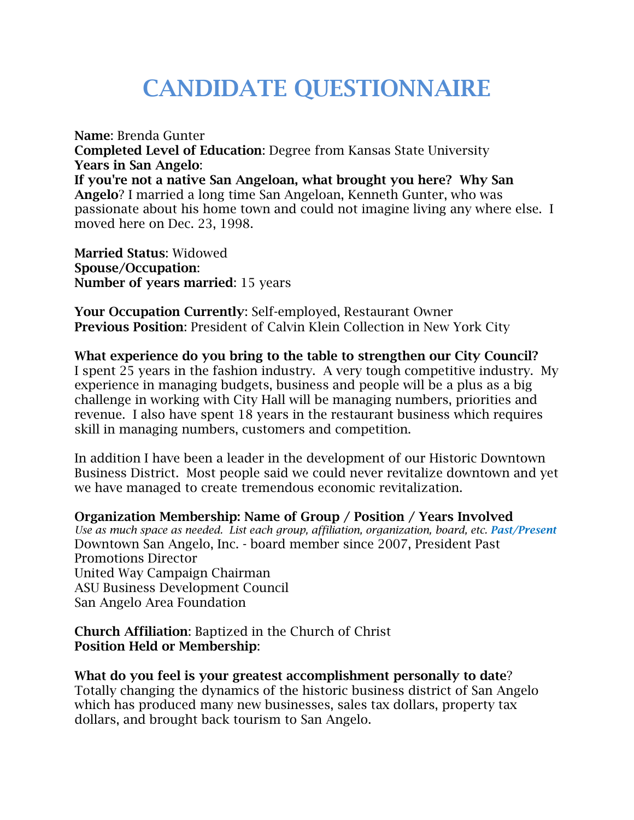## **CANDIDATE QUESTIONNAIRE**

**Name**: Brenda Gunter **Completed Level of Education**: Degree from Kansas State University **Years in San Angelo**: **If you're not a native San Angeloan, what brought you here? Why San Angelo**? I married a long time San Angeloan, Kenneth Gunter, who was passionate about his home town and could not imagine living any where else. I moved here on Dec. 23, 1998.

**Married Status**: Widowed **Spouse/Occupation**: **Number of years married**: 15 years

**Your Occupation Currently**: Self-employed, Restaurant Owner **Previous Position**: President of Calvin Klein Collection in New York City

**What experience do you bring to the table to strengthen our City Council?** I spent 25 years in the fashion industry. A very tough competitive industry. My experience in managing budgets, business and people will be a plus as a big challenge in working with City Hall will be managing numbers, priorities and revenue. I also have spent 18 years in the restaurant business which requires skill in managing numbers, customers and competition.

In addition I have been a leader in the development of our Historic Downtown Business District. Most people said we could never revitalize downtown and yet we have managed to create tremendous economic revitalization.

**Organization Membership: Name of Group / Position / Years Involved**  *Use as much space as needed. List each group, affiliation, organization, board, etc. Past/Present* Downtown San Angelo, Inc. - board member since 2007, President Past Promotions Director United Way Campaign Chairman ASU Business Development Council San Angelo Area Foundation

**Church Affiliation**: Baptized in the Church of Christ **Position Held or Membership**:

**What do you feel is your greatest accomplishment personally to date**? Totally changing the dynamics of the historic business district of San Angelo which has produced many new businesses, sales tax dollars, property tax dollars, and brought back tourism to San Angelo.